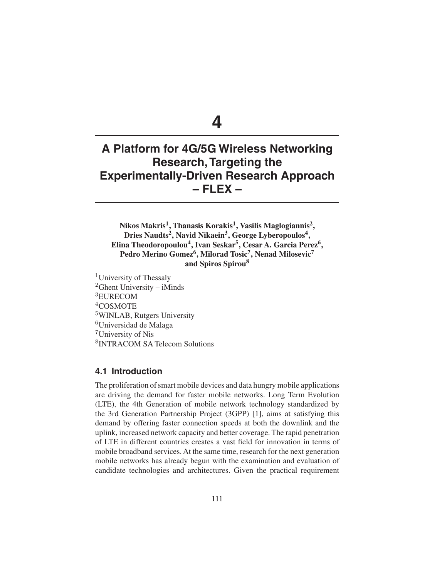# **4**

# **A Platform for 4G/5G Wireless Networking Research, Targeting the Experimentally-Driven Research Approach – FLEX –**

**Nikos Makris1, Thanasis Korakis1, Vasilis Maglogiannis2, Dries Naudts2, Navid Nikaein3, George Lyberopoulos4, Elina Theodoropoulou4, Ivan Seskar5, Cesar A. Garcia Perez6,** Pedro Merino Gomez<sup>6</sup>, Milorad Tosic<sup>7</sup>, Nenad Milosevic<sup>7</sup> **and Spiros Spirou<sup>8</sup>**

<sup>1</sup>University of Thessaly  ${}^{2}$ Ghent University – iMinds <sup>3</sup>EURECOM <sup>4</sup>COSMOTE <sup>5</sup>WINLAB, Rutgers University <sup>6</sup>Universidad de Malaga <sup>7</sup>University of Nis <sup>8</sup>INTRACOM SA Telecom Solutions

## **4.1 Introduction**

The proliferation of smart mobile devices and data hungry mobile applications are driving the demand for faster mobile networks. Long Term Evolution (LTE), the 4th Generation of mobile network technology standardized by the 3rd Generation Partnership Project (3GPP) [1], aims at satisfying this demand by offering faster connection speeds at both the downlink and the uplink, increased network capacity and better coverage. The rapid penetration of LTE in different countries creates a vast field for innovation in terms of mobile broadband services. At the same time, research for the next generation mobile networks has already begun with the examination and evaluation of candidate technologies and architectures. Given the practical requirement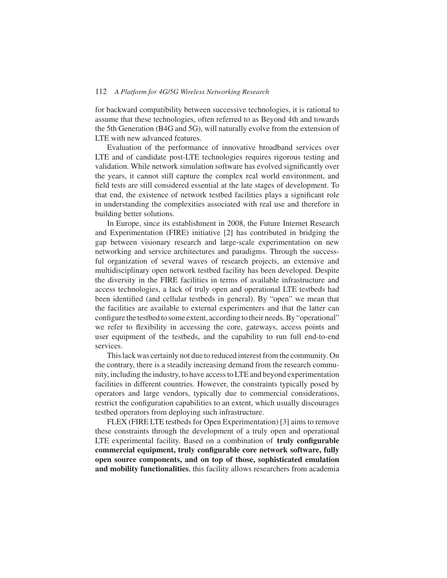for backward compatibility between successive technologies, it is rational to assume that these technologies, often referred to as Beyond 4th and towards the 5th Generation (B4G and 5G), will naturally evolve from the extension of LTE with new advanced features.

Evaluation of the performance of innovative broadband services over LTE and of candidate post-LTE technologies requires rigorous testing and validation. While network simulation software has evolved significantly over the years, it cannot still capture the complex real world environment, and field tests are still considered essential at the late stages of development. To that end, the existence of network testbed facilities plays a significant role in understanding the complexities associated with real use and therefore in building better solutions.

In Europe, since its establishment in 2008, the Future Internet Research and Experimentation (FIRE) initiative [2] has contributed in bridging the gap between visionary research and large-scale experimentation on new networking and service architectures and paradigms. Through the successful organization of several waves of research projects, an extensive and multidisciplinary open network testbed facility has been developed. Despite the diversity in the FIRE facilities in terms of available infrastructure and access technologies, a lack of truly open and operational LTE testbeds had been identified (and cellular testbeds in general). By "open" we mean that the facilities are available to external experimenters and that the latter can configure the testbed to some extent, according to their needs. By "operational" we refer to flexibility in accessing the core, gateways, access points and user equipment of the testbeds, and the capability to run full end-to-end services.

This lack was certainly not due to reduced interest from the community. On the contrary, there is a steadily increasing demand from the research community, including the industry, to have access to LTE and beyond experimentation facilities in different countries. However, the constraints typically posed by operators and large vendors, typically due to commercial considerations, restrict the configuration capabilities to an extent, which usually discourages testbed operators from deploying such infrastructure.

FLEX (FIRE LTE testbeds for Open Experimentation) [3] aims to remove these constraints through the development of a truly open and operational LTE experimental facility. Based on a combination of **truly configurable commercial equipment, truly configurable core network software, fully open source components, and on top of those, sophisticated emulation and mobility functionalities**, this facility allows researchers from academia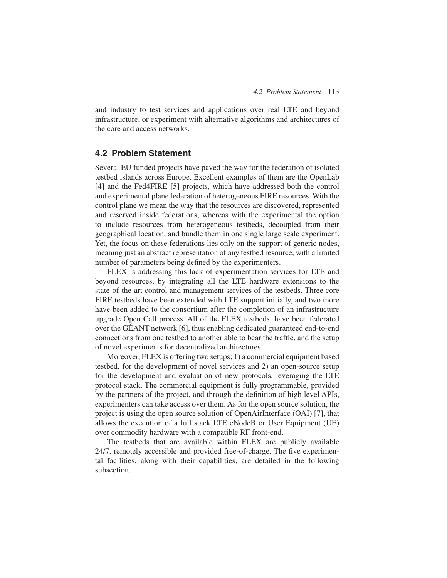and industry to test services and applications over real LTE and beyond infrastructure, or experiment with alternative algorithms and architectures of the core and access networks.

# **4.2 Problem Statement**

Several EU funded projects have paved the way for the federation of isolated testbed islands across Europe. Excellent examples of them are the OpenLab [4] and the Fed4FIRE [5] projects, which have addressed both the control and experimental plane federation of heterogeneous FIRE resources. With the control plane we mean the way that the resources are discovered, represented and reserved inside federations, whereas with the experimental the option to include resources from heterogeneous testbeds, decoupled from their geographical location, and bundle them in one single large scale experiment. Yet, the focus on these federations lies only on the support of generic nodes, meaning just an abstract representation of any testbed resource, with a limited number of parameters being defined by the experimenters.

FLEX is addressing this lack of experimentation services for LTE and beyond resources, by integrating all the LTE hardware extensions to the state-of-the-art control and management services of the testbeds. Three core FIRE testbeds have been extended with LTE support initially, and two more have been added to the consortium after the completion of an infrastructure upgrade Open Call process. All of the FLEX testbeds, have been federated over the GÉANT network [6], thus enabling dedicated guaranteed end-to-end connections from one testbed to another able to bear the traffic, and the setup of novel experiments for decentralized architectures.

Moreover, FLEX is offering two setups; 1) a commercial equipment based testbed, for the development of novel services and 2) an open-source setup for the development and evaluation of new protocols, leveraging the LTE protocol stack. The commercial equipment is fully programmable, provided by the partners of the project, and through the definition of high level APIs, experimenters can take access over them. As for the open source solution, the project is using the open source solution of OpenAirInterface (OAI) [7], that allows the execution of a full stack LTE eNodeB or User Equipment (UE) over commodity hardware with a compatible RF front-end.

The testbeds that are available within FLEX are publicly available 24/7, remotely accessible and provided free-of-charge. The five experimental facilities, along with their capabilities, are detailed in the following subsection.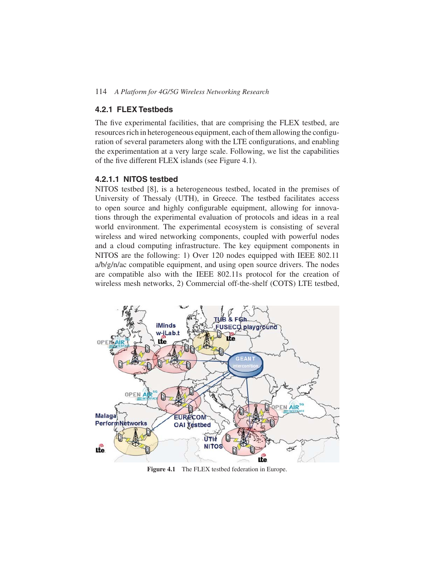## **4.2.1 FLEX Testbeds**

The five experimental facilities, that are comprising the FLEX testbed, are resources rich in heterogeneous equipment, each of them allowing the configuration of several parameters along with the LTE configurations, and enabling the experimentation at a very large scale. Following, we list the capabilities of the five different FLEX islands (see Figure 4.1).

### **4.2.1.1 NITOS testbed**

NITOS testbed [8], is a heterogeneous testbed, located in the premises of University of Thessaly (UTH), in Greece. The testbed facilitates access to open source and highly configurable equipment, allowing for innovations through the experimental evaluation of protocols and ideas in a real world environment. The experimental ecosystem is consisting of several wireless and wired networking components, coupled with powerful nodes and a cloud computing infrastructure. The key equipment components in NITOS are the following: 1) Over 120 nodes equipped with IEEE 802.11 a/b/g/n/ac compatible equipment, and using open source drivers. The nodes are compatible also with the IEEE 802.11s protocol for the creation of wireless mesh networks, 2) Commercial off-the-shelf (COTS) LTE testbed,



Figure 4.1 The FLEX testbed federation in Europe.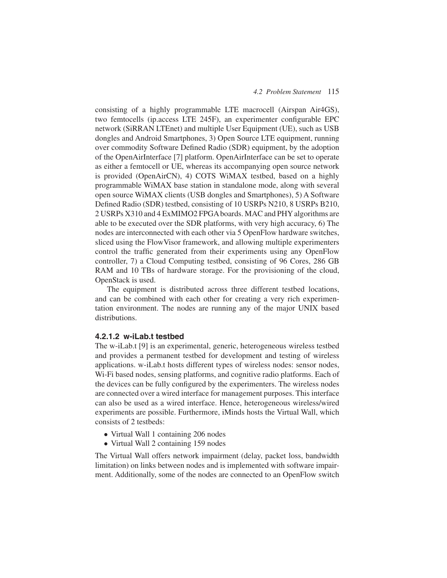consisting of a highly programmable LTE macrocell (Airspan Air4GS), two femtocells (ip.access LTE 245F), an experimenter configurable EPC network (SiRRAN LTEnet) and multiple User Equipment (UE), such as USB dongles and Android Smartphones, 3) Open Source LTE equipment, running over commodity Software Defined Radio (SDR) equipment, by the adoption of the OpenAirInterface [7] platform. OpenAirInterface can be set to operate as either a femtocell or UE, whereas its accompanying open source network is provided (OpenAirCN), 4) COTS WiMAX testbed, based on a highly programmable WiMAX base station in standalone mode, along with several open source WiMAX clients (USB dongles and Smartphones), 5) A Software Defined Radio (SDR) testbed, consisting of 10 USRPs N210, 8 USRPs B210, 2 USRPs X310 and 4 ExMIMO2 FPGA boards. MAC and PHY algorithms are able to be executed over the SDR platforms, with very high accuracy, 6) The nodes are interconnected with each other via 5 OpenFlow hardware switches, sliced using the FlowVisor framework, and allowing multiple experimenters control the traffic generated from their experiments using any OpenFlow controller, 7) a Cloud Computing testbed, consisting of 96 Cores, 286 GB RAM and 10 TBs of hardware storage. For the provisioning of the cloud, OpenStack is used.

The equipment is distributed across three different testbed locations, and can be combined with each other for creating a very rich experimentation environment. The nodes are running any of the major UNIX based distributions.

# **4.2.1.2 w-iLab.t testbed**

The w-iLab.t [9] is an experimental, generic, heterogeneous wireless testbed and provides a permanent testbed for development and testing of wireless applications. w-iLab.t hosts different types of wireless nodes: sensor nodes, Wi-Fi based nodes, sensing platforms, and cognitive radio platforms. Each of the devices can be fully configured by the experimenters. The wireless nodes are connected over a wired interface for management purposes. This interface can also be used as a wired interface. Hence, heterogeneous wireless/wired experiments are possible. Furthermore, iMinds hosts the Virtual Wall, which consists of 2 testbeds:

- Virtual Wall 1 containing 206 nodes
- Virtual Wall 2 containing 159 nodes

The Virtual Wall offers network impairment (delay, packet loss, bandwidth limitation) on links between nodes and is implemented with software impairment. Additionally, some of the nodes are connected to an OpenFlow switch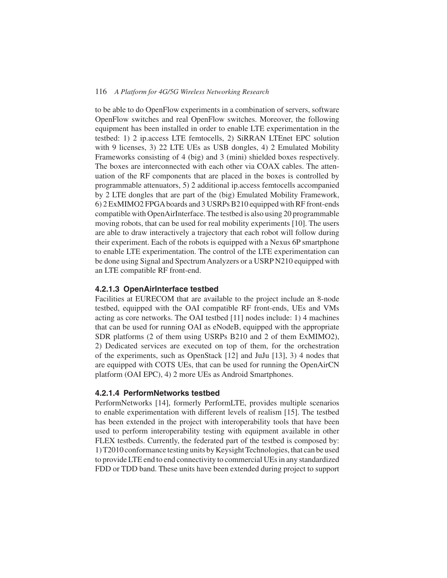to be able to do OpenFlow experiments in a combination of servers, software OpenFlow switches and real OpenFlow switches. Moreover, the following equipment has been installed in order to enable LTE experimentation in the testbed: 1) 2 ip.access LTE femtocells, 2) SiRRAN LTEnet EPC solution with 9 licenses, 3) 22 LTE UEs as USB dongles, 4) 2 Emulated Mobility Frameworks consisting of 4 (big) and 3 (mini) shielded boxes respectively. The boxes are interconnected with each other via COAX cables. The attenuation of the RF components that are placed in the boxes is controlled by programmable attenuators, 5) 2 additional ip.access femtocells accompanied by 2 LTE dongles that are part of the (big) Emulated Mobility Framework, 6) 2 ExMIMO2 FPGA boards and 3 USRPs B210 equipped with RF front-ends compatible with OpenAirInterface. The testbed is also using 20 programmable moving robots, that can be used for real mobility experiments [10]. The users are able to draw interactively a trajectory that each robot will follow during their experiment. Each of the robots is equipped with a Nexus 6P smartphone to enable LTE experimentation. The control of the LTE experimentation can be done using Signal and Spectrum Analyzers or a USRP N210 equipped with an LTE compatible RF front-end.

## **4.2.1.3 OpenAirInterface testbed**

Facilities at EURECOM that are available to the project include an 8-node testbed, equipped with the OAI compatible RF front-ends, UEs and VMs acting as core networks. The OAI testbed [11] nodes include: 1) 4 machines that can be used for running OAI as eNodeB, equipped with the appropriate SDR platforms (2 of them using USRPs B210 and 2 of them ExMIMO2), 2) Dedicated services are executed on top of them, for the orchestration of the experiments, such as OpenStack [12] and JuJu [13], 3) 4 nodes that are equipped with COTS UEs, that can be used for running the OpenAirCN platform (OAI EPC), 4) 2 more UEs as Android Smartphones.

## **4.2.1.4 PerformNetworks testbed**

PerformNetworks [14], formerly PerformLTE, provides multiple scenarios to enable experimentation with different levels of realism [15]. The testbed has been extended in the project with interoperability tools that have been used to perform interoperability testing with equipment available in other FLEX testbeds. Currently, the federated part of the testbed is composed by: 1) T2010 conformance testing units by Keysight Technologies, that can be used to provide LTE end to end connectivity to commercial UEs in any standardized FDD or TDD band. These units have been extended during project to support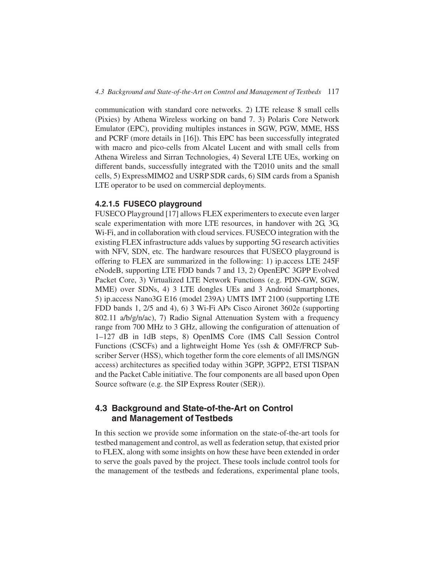communication with standard core networks. 2) LTE release 8 small cells (Pixies) by Athena Wireless working on band 7. 3) Polaris Core Network Emulator (EPC), providing multiples instances in SGW, PGW, MME, HSS and PCRF (more details in [16]). This EPC has been successfully integrated with macro and pico-cells from Alcatel Lucent and with small cells from Athena Wireless and Sirran Technologies, 4) Several LTE UEs, working on different bands, successfully integrated with the T2010 units and the small cells, 5) ExpressMIMO2 and USRP SDR cards, 6) SIM cards from a Spanish LTE operator to be used on commercial deployments.

## **4.2.1.5 FUSECO playground**

FUSECO Playground [17] allows FLEX experimenters to execute even larger scale experimentation with more LTE resources, in handover with 2G, 3G, Wi-Fi, and in collaboration with cloud services. FUSECO integration with the existing FLEX infrastructure adds values by supporting 5G research activities with NFV, SDN, etc. The hardware resources that FUSECO playground is offering to FLEX are summarized in the following: 1) ip.access LTE 245F eNodeB, supporting LTE FDD bands 7 and 13, 2) OpenEPC 3GPP Evolved Packet Core, 3) Virtualized LTE Network Functions (e.g. PDN-GW, SGW, MME) over SDNs, 4) 3 LTE dongles UEs and 3 Android Smartphones, 5) ip.access Nano3G E16 (model 239A) UMTS IMT 2100 (supporting LTE FDD bands 1, 2/5 and 4), 6) 3 Wi-Fi APs Cisco Aironet 3602e (supporting 802.11 a/b/g/n/ac), 7) Radio Signal Attenuation System with a frequency range from 700 MHz to 3 GHz, allowing the configuration of attenuation of 1–127 dB in 1dB steps, 8) OpenIMS Core (IMS Call Session Control Functions (CSCFs) and a lightweight Home Yes (ssh & OMF/FRCP Subscriber Server (HSS), which together form the core elements of all IMS/NGN access) architectures as specified today within 3GPP, 3GPP2, ETSI TISPAN and the Packet Cable initiative. The four components are all based upon Open Source software (e.g. the SIP Express Router (SER)).

# **4.3 Background and State-of-the-Art on Control and Management of Testbeds**

In this section we provide some information on the state-of-the-art tools for testbed management and control, as well as federation setup, that existed prior to FLEX, along with some insights on how these have been extended in order to serve the goals paved by the project. These tools include control tools for the management of the testbeds and federations, experimental plane tools,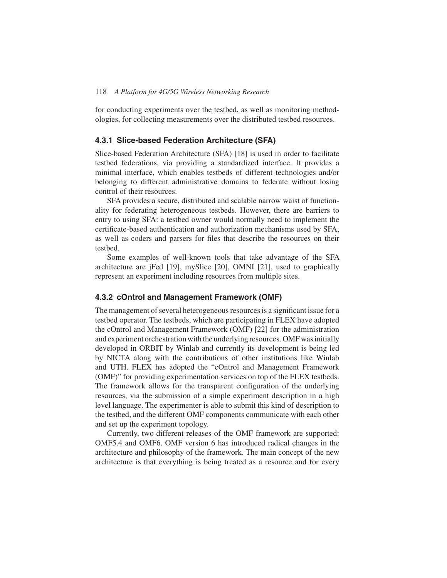for conducting experiments over the testbed, as well as monitoring methodologies, for collecting measurements over the distributed testbed resources.

## **4.3.1 Slice-based Federation Architecture (SFA)**

Slice-based Federation Architecture (SFA) [18] is used in order to facilitate testbed federations, via providing a standardized interface. It provides a minimal interface, which enables testbeds of different technologies and/or belonging to different administrative domains to federate without losing control of their resources.

SFA provides a secure, distributed and scalable narrow waist of functionality for federating heterogeneous testbeds. However, there are barriers to entry to using SFA: a testbed owner would normally need to implement the certificate-based authentication and authorization mechanisms used by SFA, as well as coders and parsers for files that describe the resources on their testbed.

Some examples of well-known tools that take advantage of the SFA architecture are jFed [19], mySlice [20], OMNI [21], used to graphically represent an experiment including resources from multiple sites.

## **4.3.2 cOntrol and Management Framework (OMF)**

The management of several heterogeneous resources is a significant issue for a testbed operator. The testbeds, which are participating in FLEX have adopted the cOntrol and Management Framework (OMF) [22] for the administration and experiment orchestration with the underlying resources. OMF was initially developed in ORBIT by Winlab and currently its development is being led by NICTA along with the contributions of other institutions like Winlab and UTH. FLEX has adopted the "cOntrol and Management Framework (OMF)" for providing experimentation services on top of the FLEX testbeds. The framework allows for the transparent configuration of the underlying resources, via the submission of a simple experiment description in a high level language. The experimenter is able to submit this kind of description to the testbed, and the different OMF components communicate with each other and set up the experiment topology.

Currently, two different releases of the OMF framework are supported: OMF5.4 and OMF6. OMF version 6 has introduced radical changes in the architecture and philosophy of the framework. The main concept of the new architecture is that everything is being treated as a resource and for every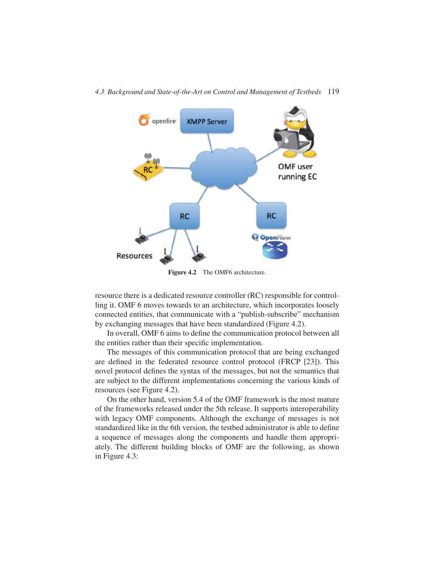

**Figure 4.2** The OMF6 architecture.

resource there is a dedicated resource controller (RC) responsible for controlling it. OMF 6 moves towards to an architecture, which incorporates loosely connected entities, that communicate with a "publish-subscribe" mechanism by exchanging messages that have been standardized (Figure 4.2).

In overall, OMF 6 aims to define the communication protocol between all the entities rather than their specific implementation.

The messages of this communication protocol that are being exchanged are defined in the federated resource control protocol (FRCP [23]). This novel protocol defines the syntax of the messages, but not the semantics that are subject to the different implementations concerning the various kinds of resources (see Figure 4.2).

On the other hand, version 5.4 of the OMF framework is the most mature of the frameworks released under the 5th release. It supports interoperability with legacy OMF components. Although the exchange of messages is not standardized like in the 6th version, the testbed administrator is able to define a sequence of messages along the components and handle them appropriately. The different building blocks of OMF are the following, as shown in Figure 4.3: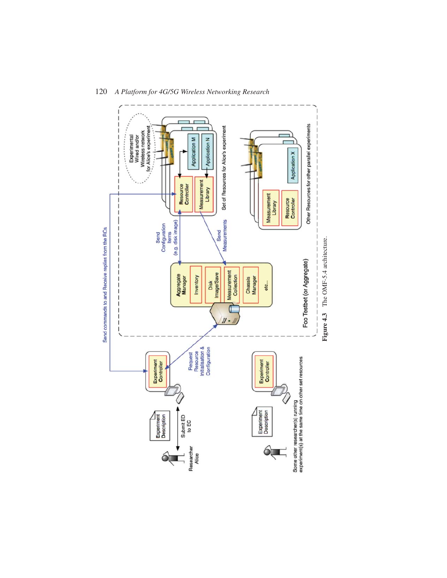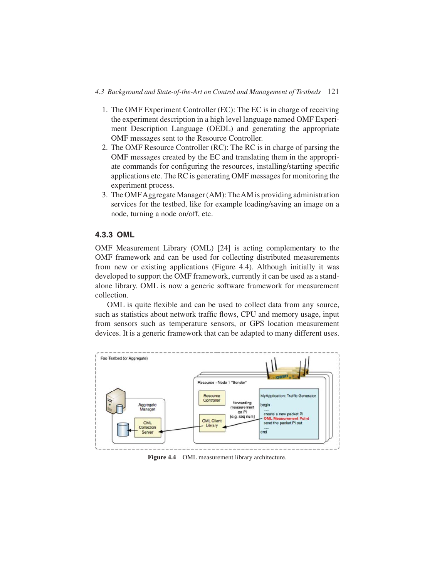- 1. The OMF Experiment Controller (EC): The EC is in charge of receiving the experiment description in a high level language named OMF Experiment Description Language (OEDL) and generating the appropriate OMF messages sent to the Resource Controller.
- 2. The OMF Resource Controller (RC): The RC is in charge of parsing the OMF messages created by the EC and translating them in the appropriate commands for configuring the resources, installing/starting specific applications etc. The RC is generating OMF messages for monitoring the experiment process.
- 3. The OMF Aggregate Manager (AM): The AM is providing administration services for the testbed, like for example loading/saving an image on a node, turning a node on/off, etc.

## **4.3.3 OML**

OMF Measurement Library (OML) [24] is acting complementary to the OMF framework and can be used for collecting distributed measurements from new or existing applications (Figure 4.4). Although initially it was developed to support the OMF framework, currently it can be used as a standalone library. OML is now a generic software framework for measurement collection.

OML is quite flexible and can be used to collect data from any source, such as statistics about network traffic flows, CPU and memory usage, input from sensors such as temperature sensors, or GPS location measurement devices. It is a generic framework that can be adapted to many different uses.



**Figure 4.4** OML measurement library architecture.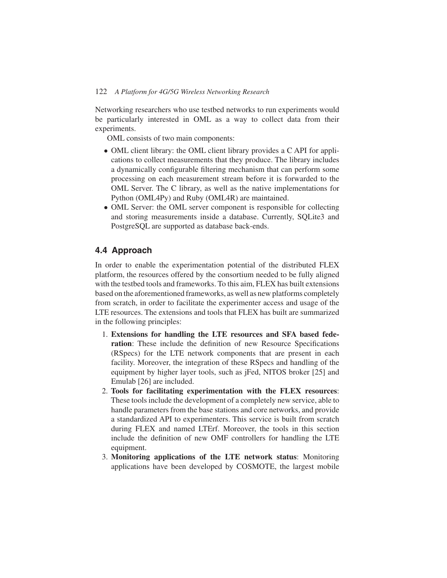Networking researchers who use testbed networks to run experiments would be particularly interested in OML as a way to collect data from their experiments.

OML consists of two main components:

- OML client library: the OML client library provides a C API for applications to collect measurements that they produce. The library includes a dynamically configurable filtering mechanism that can perform some processing on each measurement stream before it is forwarded to the OML Server. The C library, as well as the native implementations for Python (OML4Py) and Ruby (OML4R) are maintained.
- OML Server: the OML server component is responsible for collecting and storing measurements inside a database. Currently, SQLite3 and PostgreSQL are supported as database back-ends.

# **4.4 Approach**

In order to enable the experimentation potential of the distributed FLEX platform, the resources offered by the consortium needed to be fully aligned with the testbed tools and frameworks. To this aim, FLEX has built extensions based on the aforementioned frameworks, as well as new platforms completely from scratch, in order to facilitate the experimenter access and usage of the LTE resources. The extensions and tools that FLEX has built are summarized in the following principles:

- 1. **Extensions for handling the LTE resources and SFA based federation**: These include the definition of new Resource Specifications (RSpecs) for the LTE network components that are present in each facility. Moreover, the integration of these RSpecs and handling of the equipment by higher layer tools, such as jFed, NITOS broker [25] and Emulab [26] are included.
- 2. **Tools for facilitating experimentation with the FLEX resources**: These tools include the development of a completely new service, able to handle parameters from the base stations and core networks, and provide a standardized API to experimenters. This service is built from scratch during FLEX and named LTErf. Moreover, the tools in this section include the definition of new OMF controllers for handling the LTE equipment.
- 3. **Monitoring applications of the LTE network status**: Monitoring applications have been developed by COSMOTE, the largest mobile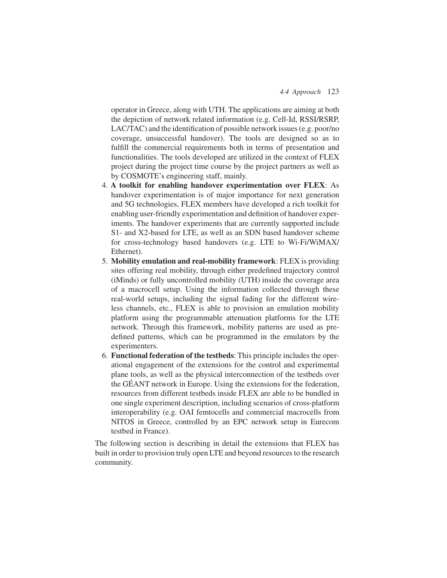operator in Greece, along with UTH. The applications are aiming at both the depiction of network related information (e.g. Cell-Id, RSSI/RSRP, LAC/TAC) and the identification of possible network issues (e.g. poor/no coverage, unsuccessful handover). The tools are designed so as to fulfill the commercial requirements both in terms of presentation and functionalities. The tools developed are utilized in the context of FLEX project during the project time course by the project partners as well as by COSMOTE's engineering staff, mainly.

- 4. **A toolkit for enabling handover experimentation over FLEX**: As handover experimentation is of major importance for next generation and 5G technologies, FLEX members have developed a rich toolkit for enabling user-friendly experimentation and definition of handover experiments. The handover experiments that are currently supported include S1- and X2-based for LTE, as well as an SDN based handover scheme for cross-technology based handovers (e.g. LTE to Wi-Fi/WiMAX/ Ethernet).
- 5. **Mobility emulation and real-mobility framework**: FLEX is providing sites offering real mobility, through either predefined trajectory control (iMinds) or fully uncontrolled mobility (UTH) inside the coverage area of a macrocell setup. Using the information collected through these real-world setups, including the signal fading for the different wireless channels, etc., FLEX is able to provision an emulation mobility platform using the programmable attenuation platforms for the LTE network. Through this framework, mobility patterns are used as predefined patterns, which can be programmed in the emulators by the experimenters.
- 6. **Functional federation of the testbeds**: This principle includes the operational engagement of the extensions for the control and experimental plane tools, as well as the physical interconnection of the testbeds over the GÉANT network in Europe. Using the extensions for the federation, resources from different testbeds inside FLEX are able to be bundled in one single experiment description, including scenarios of cross-platform interoperability (e.g. OAI femtocells and commercial macrocells from NITOS in Greece, controlled by an EPC network setup in Eurecom testbed in France).

The following section is describing in detail the extensions that FLEX has built in order to provision truly open LTE and beyond resources to the research community.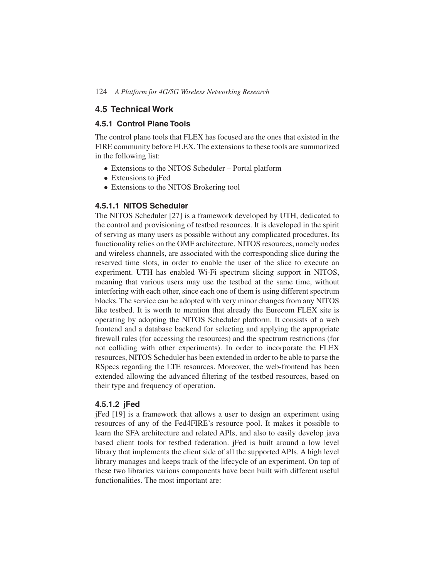# **4.5 Technical Work**

## **4.5.1 Control Plane Tools**

The control plane tools that FLEX has focused are the ones that existed in the FIRE community before FLEX. The extensions to these tools are summarized in the following list:

- Extensions to the NITOS Scheduler Portal platform
- Extensions to jFed
- Extensions to the NITOS Brokering tool

# **4.5.1.1 NITOS Scheduler**

The NITOS Scheduler [27] is a framework developed by UTH, dedicated to the control and provisioning of testbed resources. It is developed in the spirit of serving as many users as possible without any complicated procedures. Its functionality relies on the OMF architecture. NITOS resources, namely nodes and wireless channels, are associated with the corresponding slice during the reserved time slots, in order to enable the user of the slice to execute an experiment. UTH has enabled Wi-Fi spectrum slicing support in NITOS, meaning that various users may use the testbed at the same time, without interfering with each other, since each one of them is using different spectrum blocks. The service can be adopted with very minor changes from any NITOS like testbed. It is worth to mention that already the Eurecom FLEX site is operating by adopting the NITOS Scheduler platform. It consists of a web frontend and a database backend for selecting and applying the appropriate firewall rules (for accessing the resources) and the spectrum restrictions (for not colliding with other experiments). In order to incorporate the FLEX resources, NITOS Scheduler has been extended in order to be able to parse the RSpecs regarding the LTE resources. Moreover, the web-frontend has been extended allowing the advanced filtering of the testbed resources, based on their type and frequency of operation.

## **4.5.1.2 jFed**

jFed [19] is a framework that allows a user to design an experiment using resources of any of the Fed4FIRE's resource pool. It makes it possible to learn the SFA architecture and related APIs, and also to easily develop java based client tools for testbed federation. jFed is built around a low level library that implements the client side of all the supported APIs. A high level library manages and keeps track of the lifecycle of an experiment. On top of these two libraries various components have been built with different useful functionalities. The most important are: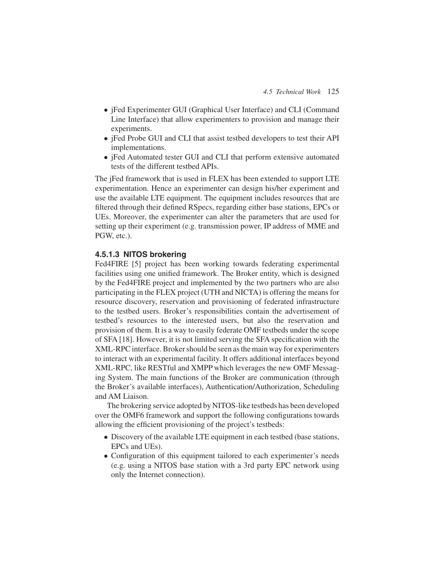- jFed Experimenter GUI (Graphical User Interface) and CLI (Command Line Interface) that allow experimenters to provision and manage their experiments.
- jFed Probe GUI and CLI that assist testbed developers to test their API implementations.
- jFed Automated tester GUI and CLI that perform extensive automated tests of the different testbed APIs.

The jFed framework that is used in FLEX has been extended to support LTE experimentation. Hence an experimenter can design his/her experiment and use the available LTE equipment. The equipment includes resources that are filtered through their defined RSpecs, regarding either base stations, EPCs or UEs. Moreover, the experimenter can alter the parameters that are used for setting up their experiment (e.g. transmission power, IP address of MME and PGW, etc.).

#### **4.5.1.3 NITOS brokering**

Fed4FIRE [5] project has been working towards federating experimental facilities using one unified framework. The Broker entity, which is designed by the Fed4FIRE project and implemented by the two partners who are also participating in the FLEX project (UTH and NICTA) is offering the means for resource discovery, reservation and provisioning of federated infrastructure to the testbed users. Broker's responsibilities contain the advertisement of testbed's resources to the interested users, but also the reservation and provision of them. It is a way to easily federate OMF testbeds under the scope of SFA [18]. However, it is not limited serving the SFA specification with the XML-RPC interface. Broker should be seen as the main way for experimenters to interact with an experimental facility. It offers additional interfaces beyond XML-RPC, like RESTful and XMPP which leverages the new OMF Messaging System. The main functions of the Broker are communication (through the Broker's available interfaces), Authentication/Authorization, Scheduling and AM Liaison.

The brokering service adopted by NITOS-like testbeds has been developed over the OMF6 framework and support the following configurations towards allowing the efficient provisioning of the project's testbeds:

- Discovery of the available LTE equipment in each testbed (base stations, EPCs and UEs).
- Configuration of this equipment tailored to each experimenter's needs (e.g. using a NITOS base station with a 3rd party EPC network using only the Internet connection).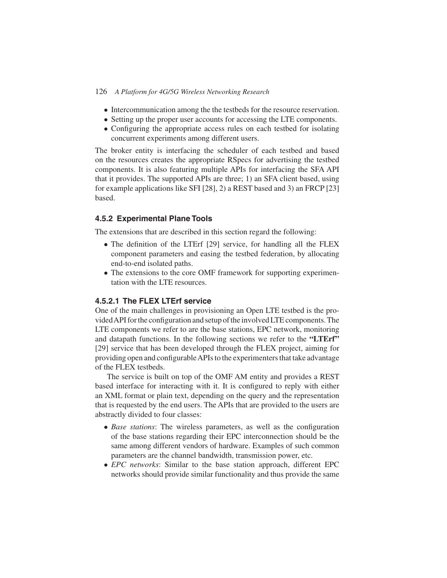- Intercommunication among the the testbeds for the resource reservation.
- Setting up the proper user accounts for accessing the LTE components.
- Configuring the appropriate access rules on each testbed for isolating concurrent experiments among different users.

The broker entity is interfacing the scheduler of each testbed and based on the resources creates the appropriate RSpecs for advertising the testbed components. It is also featuring multiple APIs for interfacing the SFA API that it provides. The supported APIs are three; 1) an SFA client based, using for example applications like SFI [28], 2) a REST based and 3) an FRCP [23] based.

## **4.5.2 Experimental Plane Tools**

The extensions that are described in this section regard the following:

- The definition of the LTErf [29] service, for handling all the FLEX component parameters and easing the testbed federation, by allocating end-to-end isolated paths.
- The extensions to the core OMF framework for supporting experimentation with the LTE resources.

# **4.5.2.1 The FLEX LTErf service**

One of the main challenges in provisioning an Open LTE testbed is the providedAPI for the configuration and setup of the involved LTE components. The LTE components we refer to are the base stations, EPC network, monitoring and datapath functions. In the following sections we refer to the **"LTErf"** [29] service that has been developed through the FLEX project, aiming for providing open and configurableAPIs to the experimenters that take advantage of the FLEX testbeds.

The service is built on top of the OMF AM entity and provides a REST based interface for interacting with it. It is configured to reply with either an XML format or plain text, depending on the query and the representation that is requested by the end users. The APIs that are provided to the users are abstractly divided to four classes:

- *Base stations*: The wireless parameters, as well as the configuration of the base stations regarding their EPC interconnection should be the same among different vendors of hardware. Examples of such common parameters are the channel bandwidth, transmission power, etc.
- *EPC networks*: Similar to the base station approach, different EPC networks should provide similar functionality and thus provide the same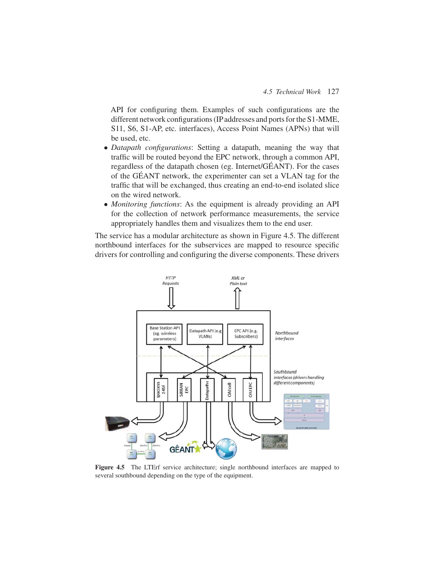API for configuring them. Examples of such configurations are the different network configurations (IP addresses and ports for the S1-MME, S11, S6, S1-AP, etc. interfaces), Access Point Names (APNs) that will be used, etc.

- *Datapath configurations*: Setting a datapath, meaning the way that traffic will be routed beyond the EPC network, through a common API, regardless of the datapath chosen (eg. Internet/GÉANT). For the cases of the GÉANT network, the experimenter can set a VLAN tag for the traffic that will be exchanged, thus creating an end-to-end isolated slice on the wired network.
- *Monitoring functions*: As the equipment is already providing an API for the collection of network performance measurements, the service appropriately handles them and visualizes them to the end user.

The service has a modular architecture as shown in Figure 4.5. The different northbound interfaces for the subservices are mapped to resource specific drivers for controlling and configuring the diverse components. These drivers



Figure 4.5 The LTErf service architecture; single northbound interfaces are mapped to several southbound depending on the type of the equipment.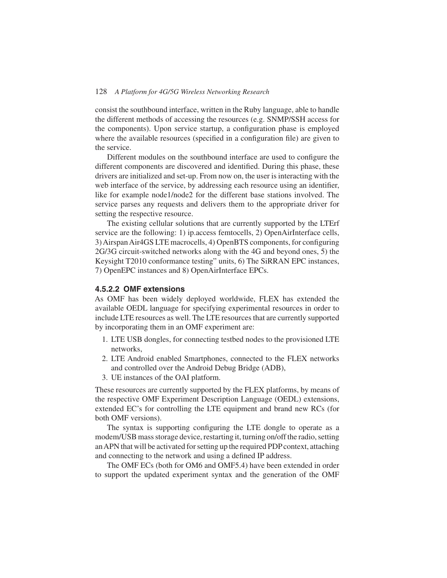consist the southbound interface, written in the Ruby language, able to handle the different methods of accessing the resources (e.g. SNMP/SSH access for the components). Upon service startup, a configuration phase is employed where the available resources (specified in a configuration file) are given to the service.

Different modules on the southbound interface are used to configure the different components are discovered and identified. During this phase, these drivers are initialized and set-up. From now on, the user is interacting with the web interface of the service, by addressing each resource using an identifier, like for example node1/node2 for the different base stations involved. The service parses any requests and delivers them to the appropriate driver for setting the respective resource.

The existing cellular solutions that are currently supported by the LTErf service are the following: 1) ip.access femtocells, 2) OpenAirInterface cells, 3) Airspan Air4GS LTE macrocells, 4) OpenBTS components, for configuring 2G/3G circuit-switched networks along with the 4G and beyond ones, 5) the Keysight T2010 conformance testing" units, 6) The SiRRAN EPC instances, 7) OpenEPC instances and 8) OpenAirInterface EPCs.

## **4.5.2.2 OMF extensions**

As OMF has been widely deployed worldwide, FLEX has extended the available OEDL language for specifying experimental resources in order to include LTE resources as well. The LTE resources that are currently supported by incorporating them in an OMF experiment are:

- 1. LTE USB dongles, for connecting testbed nodes to the provisioned LTE networks,
- 2. LTE Android enabled Smartphones, connected to the FLEX networks and controlled over the Android Debug Bridge (ADB),
- 3. UE instances of the OAI platform.

These resources are currently supported by the FLEX platforms, by means of the respective OMF Experiment Description Language (OEDL) extensions, extended EC's for controlling the LTE equipment and brand new RCs (for both OMF versions).

The syntax is supporting configuring the LTE dongle to operate as a modem/USB mass storage device, restarting it, turning on/off the radio, setting anAPN that will be activated for setting up the required PDP context, attaching and connecting to the network and using a defined IP address.

The OMF ECs (both for OM6 and OMF5.4) have been extended in order to support the updated experiment syntax and the generation of the OMF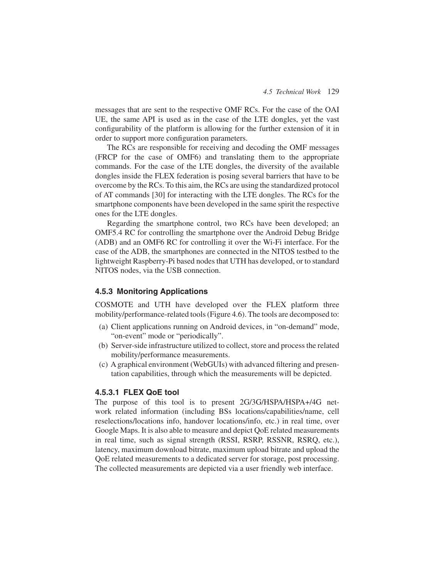messages that are sent to the respective OMF RCs. For the case of the OAI UE, the same API is used as in the case of the LTE dongles, yet the vast configurability of the platform is allowing for the further extension of it in order to support more configuration parameters.

The RCs are responsible for receiving and decoding the OMF messages (FRCP for the case of OMF6) and translating them to the appropriate commands. For the case of the LTE dongles, the diversity of the available dongles inside the FLEX federation is posing several barriers that have to be overcome by the RCs. To this aim, the RCs are using the standardized protocol of AT commands [30] for interacting with the LTE dongles. The RCs for the smartphone components have been developed in the same spirit the respective ones for the LTE dongles.

Regarding the smartphone control, two RCs have been developed; an OMF5.4 RC for controlling the smartphone over the Android Debug Bridge (ADB) and an OMF6 RC for controlling it over the Wi-Fi interface. For the case of the ADB, the smartphones are connected in the NITOS testbed to the lightweight Raspberry-Pi based nodes that UTH has developed, or to standard NITOS nodes, via the USB connection.

## **4.5.3 Monitoring Applications**

COSMOTE and UTH have developed over the FLEX platform three mobility/performance-related tools (Figure 4.6). The tools are decomposed to:

- (a) Client applications running on Android devices, in "on-demand" mode, "on-event" mode or "periodically".
- (b) Server-side infrastructure utilized to collect, store and process the related mobility/performance measurements.
- (c) A graphical environment (WebGUIs) with advanced filtering and presentation capabilities, through which the measurements will be depicted.

#### **4.5.3.1 FLEX QoE tool**

The purpose of this tool is to present 2G/3G/HSPA/HSPA+/4G network related information (including BSs locations/capabilities/name, cell reselections/locations info, handover locations/info, etc.) in real time, over Google Maps. It is also able to measure and depict QoE related measurements in real time, such as signal strength (RSSI, RSRP, RSSNR, RSRQ, etc.), latency, maximum download bitrate, maximum upload bitrate and upload the QoE related measurements to a dedicated server for storage, post processing. The collected measurements are depicted via a user friendly web interface.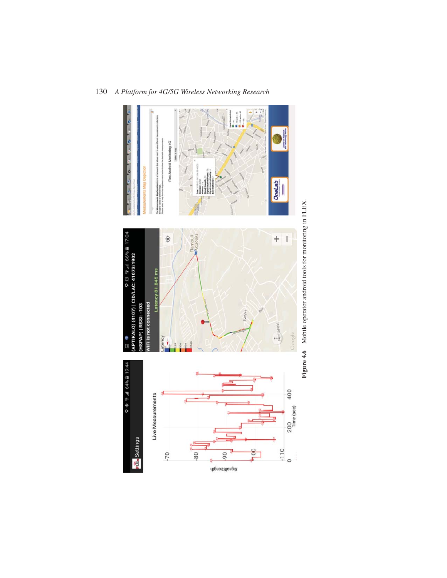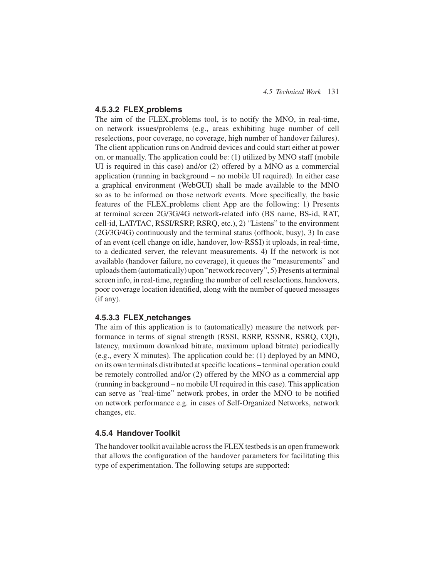#### **4.5.3.2 FLEX problems**

The aim of the FLEX problems tool, is to notify the MNO, in real-time, on network issues/problems (e.g., areas exhibiting huge number of cell reselections, poor coverage, no coverage, high number of handover failures). The client application runs on Android devices and could start either at power on, or manually. The application could be: (1) utilized by MNO staff (mobile UI is required in this case) and/or (2) offered by a MNO as a commercial application (running in background – no mobile UI required). In either case a graphical environment (WebGUI) shall be made available to the MNO so as to be informed on those network events. More specifically, the basic features of the FLEX problems client App are the following: 1) Presents at terminal screen 2G/3G/4G network-related info (BS name, BS-id, RAT, cell-id, LAT/TAC, RSSI/RSRP, RSRQ, etc.), 2) "Listens" to the environment (2G/3G/4G) continuously and the terminal status (offhook, busy), 3) In case of an event (cell change on idle, handover, low-RSSI) it uploads, in real-time, to a dedicated server, the relevant measurements. 4) If the network is not available (handover failure, no coverage), it queues the "measurements" and uploads them (automatically) upon "network recovery", 5) Presents at terminal screen info, in real-time, regarding the number of cell reselections, handovers, poor coverage location identified, along with the number of queued messages (if any).

## **4.5.3.3 FLEX netchanges**

The aim of this application is to (automatically) measure the network performance in terms of signal strength (RSSI, RSRP, RSSNR, RSRQ, CQI), latency, maximum download bitrate, maximum upload bitrate) periodically (e.g., every X minutes). The application could be: (1) deployed by an MNO, on its own terminals distributed at specific locations – terminal operation could be remotely controlled and/or (2) offered by the MNO as a commercial app (running in background – no mobile UI required in this case). This application can serve as "real-time" network probes, in order the MNO to be notified on network performance e.g. in cases of Self-Organized Networks, network changes, etc.

## **4.5.4 Handover Toolkit**

The handover toolkit available across the FLEX testbeds is an open framework that allows the configuration of the handover parameters for facilitating this type of experimentation. The following setups are supported: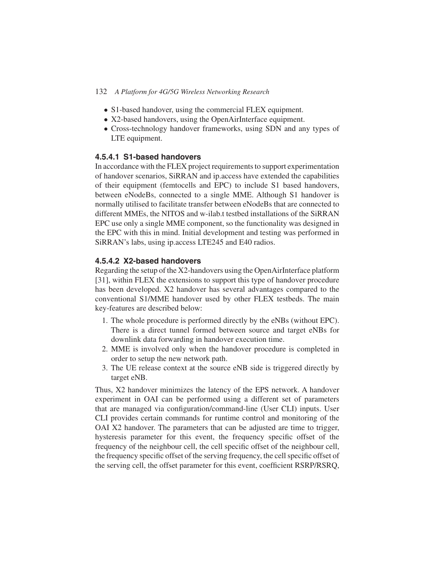- S1-based handover, using the commercial FLEX equipment.
- X2-based handovers, using the OpenAirInterface equipment.
- Cross-technology handover frameworks, using SDN and any types of LTE equipment.

# **4.5.4.1 S1-based handovers**

In accordance with the FLEX project requirements to support experimentation of handover scenarios, SiRRAN and ip.access have extended the capabilities of their equipment (femtocells and EPC) to include S1 based handovers, between eNodeBs, connected to a single MME. Although S1 handover is normally utilised to facilitate transfer between eNodeBs that are connected to different MMEs, the NITOS and w-ilab.t testbed installations of the SiRRAN EPC use only a single MME component, so the functionality was designed in the EPC with this in mind. Initial development and testing was performed in SiRRAN's labs, using ip.access LTE245 and E40 radios.

# **4.5.4.2 X2-based handovers**

Regarding the setup of the X2-handovers using the OpenAirInterface platform [31], within FLEX the extensions to support this type of handover procedure has been developed. X2 handover has several advantages compared to the conventional S1/MME handover used by other FLEX testbeds. The main key-features are described below:

- 1. The whole procedure is performed directly by the eNBs (without EPC). There is a direct tunnel formed between source and target eNBs for downlink data forwarding in handover execution time.
- 2. MME is involved only when the handover procedure is completed in order to setup the new network path.
- 3. The UE release context at the source eNB side is triggered directly by target eNB.

Thus, X2 handover minimizes the latency of the EPS network. A handover experiment in OAI can be performed using a different set of parameters that are managed via configuration/command-line (User CLI) inputs. User CLI provides certain commands for runtime control and monitoring of the OAI X2 handover. The parameters that can be adjusted are time to trigger, hysteresis parameter for this event, the frequency specific offset of the frequency of the neighbour cell, the cell specific offset of the neighbour cell, the frequency specific offset of the serving frequency, the cell specific offset of the serving cell, the offset parameter for this event, coefficient RSRP/RSRQ,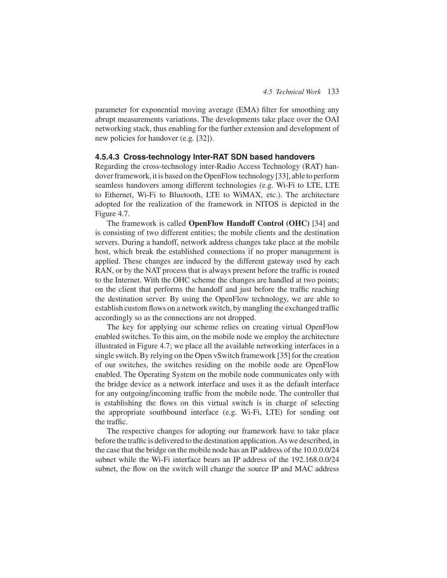parameter for exponential moving average (EMA) filter for smoothing any abrupt measurements variations. The developments take place over the OAI networking stack, thus enabling for the further extension and development of new policies for handover (e.g. [32]).

### **4.5.4.3 Cross-technology Inter-RAT SDN based handovers**

Regarding the cross-technology inter-Radio Access Technology (RAT) handover framework, it is based on the OpenFlow technology [33], able to perform seamless handovers among different technologies (e.g. Wi-Fi to LTE, LTE to Ethernet, Wi-Fi to Bluetooth, LTE to WiMAX, etc.). The architecture adopted for the realization of the framework in NITOS is depicted in the Figure 4.7.

The framework is called **OpenFlow Handoff Control (OHC)** [34] and is consisting of two different entities; the mobile clients and the destination servers. During a handoff, network address changes take place at the mobile host, which break the established connections if no proper management is applied. These changes are induced by the different gateway used by each RAN, or by the NAT process that is always present before the traffic is routed to the Internet. With the OHC scheme the changes are handled at two points; on the client that performs the handoff and just before the traffic reaching the destination server. By using the OpenFlow technology, we are able to establish custom flows on a network switch, by mangling the exchanged traffic accordingly so as the connections are not dropped.

The key for applying our scheme relies on creating virtual OpenFlow enabled switches. To this aim, on the mobile node we employ the architecture illustrated in Figure 4.7; we place all the available networking interfaces in a single switch. By relying on the Open vSwitch framework [35] for the creation of our switches, the switches residing on the mobile node are OpenFlow enabled. The Operating System on the mobile node communicates only with the bridge device as a network interface and uses it as the default interface for any outgoing/incoming traffic from the mobile node. The controller that is establishing the flows on this virtual switch is in charge of selecting the appropriate southbound interface (e.g. Wi-Fi, LTE) for sending out the traffic.

The respective changes for adopting our framework have to take place before the traffic is delivered to the destination application.As we described, in the case that the bridge on the mobile node has an IP address of the 10.0.0.0/24 subnet while the Wi-Fi interface bears an IP address of the 192.168.0.0/24 subnet, the flow on the switch will change the source IP and MAC address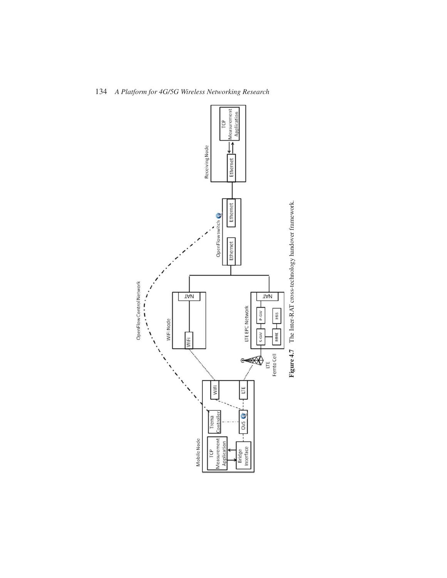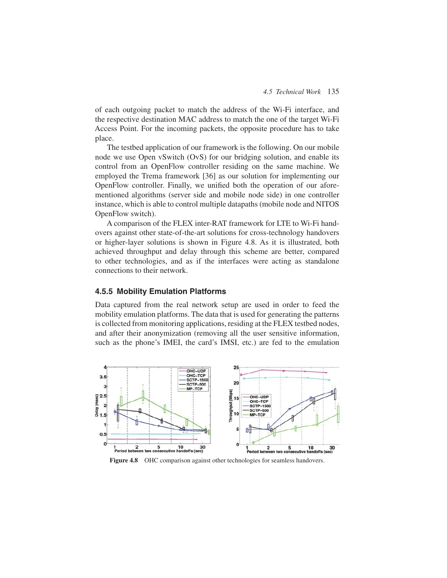of each outgoing packet to match the address of the Wi-Fi interface, and the respective destination MAC address to match the one of the target Wi-Fi Access Point. For the incoming packets, the opposite procedure has to take place.

The testbed application of our framework is the following. On our mobile node we use Open vSwitch (OvS) for our bridging solution, and enable its control from an OpenFlow controller residing on the same machine. We employed the Trema framework [36] as our solution for implementing our OpenFlow controller. Finally, we unified both the operation of our aforementioned algorithms (server side and mobile node side) in one controller instance, which is able to control multiple datapaths (mobile node and NITOS OpenFlow switch).

A comparison of the FLEX inter-RAT framework for LTE to Wi-Fi handovers against other state-of-the-art solutions for cross-technology handovers or higher-layer solutions is shown in Figure 4.8. As it is illustrated, both achieved throughput and delay through this scheme are better, compared to other technologies, and as if the interfaces were acting as standalone connections to their network.

#### **4.5.5 Mobility Emulation Platforms**

Data captured from the real network setup are used in order to feed the mobility emulation platforms. The data that is used for generating the patterns is collected from monitoring applications, residing at the FLEX testbed nodes, and after their anonymization (removing all the user sensitive information, such as the phone's IMEI, the card's IMSI, etc.) are fed to the emulation



Figure 4.8 OHC comparison against other technologies for seamless handovers.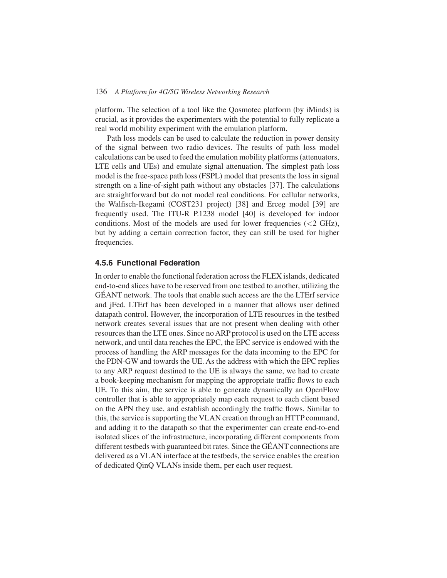platform. The selection of a tool like the Qosmotec platform (by iMinds) is crucial, as it provides the experimenters with the potential to fully replicate a real world mobility experiment with the emulation platform.

Path loss models can be used to calculate the reduction in power density of the signal between two radio devices. The results of path loss model calculations can be used to feed the emulation mobility platforms (attenuators, LTE cells and UEs) and emulate signal attenuation. The simplest path loss model is the free-space path loss (FSPL) model that presents the loss in signal strength on a line-of-sight path without any obstacles [37]. The calculations are straightforward but do not model real conditions. For cellular networks, the Walfisch-Ikegami (COST231 project) [38] and Erceg model [39] are frequently used. The ITU-R P.1238 model [40] is developed for indoor conditions. Most of the models are used for lower frequencies  $\langle$   $\langle$  2 GHz), but by adding a certain correction factor, they can still be used for higher frequencies.

## **4.5.6 Functional Federation**

In order to enable the functional federation across the FLEX islands, dedicated end-to-end slices have to be reserved from one testbed to another, utilizing the GÉANT network. The tools that enable such access are the the LTErf service and jFed. LTErf has been developed in a manner that allows user defined datapath control. However, the incorporation of LTE resources in the testbed network creates several issues that are not present when dealing with other resources than the LTE ones. Since no ARP protocol is used on the LTE access network, and until data reaches the EPC, the EPC service is endowed with the process of handling the ARP messages for the data incoming to the EPC for the PDN-GW and towards the UE. As the address with which the EPC replies to any ARP request destined to the UE is always the same, we had to create a book-keeping mechanism for mapping the appropriate traffic flows to each UE. To this aim, the service is able to generate dynamically an OpenFlow controller that is able to appropriately map each request to each client based on the APN they use, and establish accordingly the traffic flows. Similar to this, the service is supporting the VLAN creation through an HTTP command, and adding it to the datapath so that the experimenter can create end-to-end isolated slices of the infrastructure, incorporating different components from different testbeds with guaranteed bit rates. Since the GÉANT connections are delivered as a VLAN interface at the testbeds, the service enables the creation of dedicated QinQ VLANs inside them, per each user request.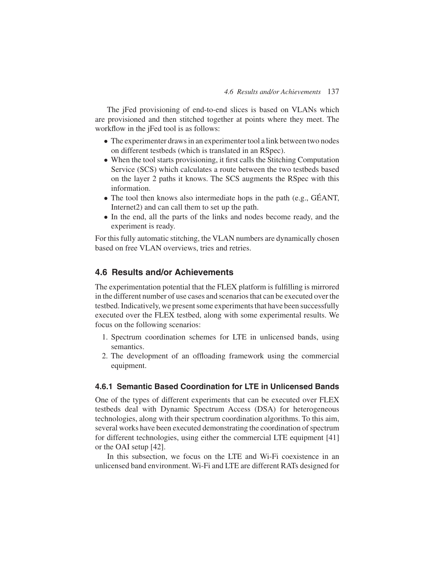The jFed provisioning of end-to-end slices is based on VLANs which are provisioned and then stitched together at points where they meet. The workflow in the jFed tool is as follows:

- The experimenter draws in an experimenter tool a link between two nodes on different testbeds (which is translated in an RSpec).
- When the tool starts provisioning, it first calls the Stitching Computation Service (SCS) which calculates a route between the two testbeds based on the layer 2 paths it knows. The SCS augments the RSpec with this information.
- The tool then knows also intermediate hops in the path (e.g., GÉANT, Internet2) and can call them to set up the path.
- In the end, all the parts of the links and nodes become ready, and the experiment is ready.

For this fully automatic stitching, the VLAN numbers are dynamically chosen based on free VLAN overviews, tries and retries.

# **4.6 Results and/or Achievements**

The experimentation potential that the FLEX platform is fulfilling is mirrored in the different number of use cases and scenarios that can be executed over the testbed. Indicatively, we present some experiments that have been successfully executed over the FLEX testbed, along with some experimental results. We focus on the following scenarios:

- 1. Spectrum coordination schemes for LTE in unlicensed bands, using semantics.
- 2. The development of an offloading framework using the commercial equipment.

## **4.6.1 Semantic Based Coordination for LTE in Unlicensed Bands**

One of the types of different experiments that can be executed over FLEX testbeds deal with Dynamic Spectrum Access (DSA) for heterogeneous technologies, along with their spectrum coordination algorithms. To this aim, several works have been executed demonstrating the coordination of spectrum for different technologies, using either the commercial LTE equipment [41] or the OAI setup [42].

In this subsection, we focus on the LTE and Wi-Fi coexistence in an unlicensed band environment. Wi-Fi and LTE are different RATs designed for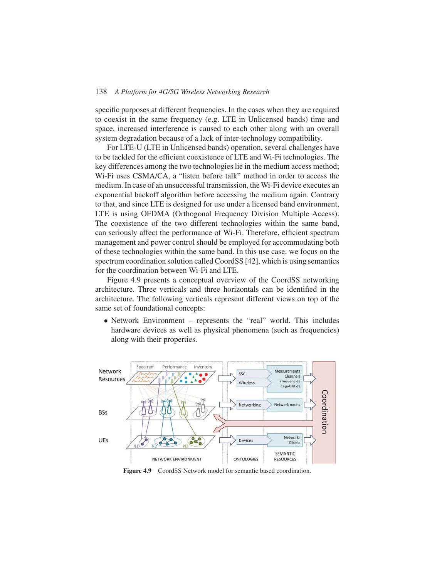specific purposes at different frequencies. In the cases when they are required to coexist in the same frequency (e.g. LTE in Unlicensed bands) time and space, increased interference is caused to each other along with an overall system degradation because of a lack of inter-technology compatibility.

For LTE-U (LTE in Unlicensed bands) operation, several challenges have to be tackled for the efficient coexistence of LTE and Wi-Fi technologies. The key differences among the two technologies lie in the medium access method; Wi-Fi uses CSMA/CA, a "listen before talk" method in order to access the medium. In case of an unsuccessful transmission, theWi-Fi device executes an exponential backoff algorithm before accessing the medium again. Contrary to that, and since LTE is designed for use under a licensed band environment, LTE is using OFDMA (Orthogonal Frequency Division Multiple Access). The coexistence of the two different technologies within the same band, can seriously affect the performance of Wi-Fi. Therefore, efficient spectrum management and power control should be employed for accommodating both of these technologies within the same band. In this use case, we focus on the spectrum coordination solution called CoordSS [42], which is using semantics for the coordination between Wi-Fi and LTE.

Figure 4.9 presents a conceptual overview of the CoordSS networking architecture. Three verticals and three horizontals can be identified in the architecture. The following verticals represent different views on top of the same set of foundational concepts:

• Network Environment – represents the "real" world. This includes hardware devices as well as physical phenomena (such as frequencies) along with their properties.



**Figure 4.9** CoordSS Network model for semantic based coordination.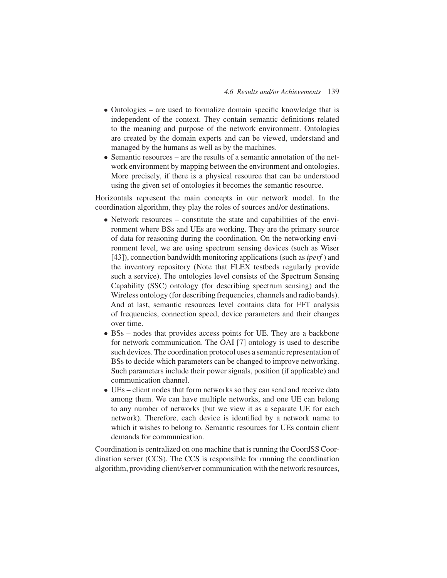- Ontologies are used to formalize domain specific knowledge that is independent of the context. They contain semantic definitions related to the meaning and purpose of the network environment. Ontologies are created by the domain experts and can be viewed, understand and managed by the humans as well as by the machines.
- Semantic resources are the results of a semantic annotation of the network environment by mapping between the environment and ontologies. More precisely, if there is a physical resource that can be understood using the given set of ontologies it becomes the semantic resource.

Horizontals represent the main concepts in our network model. In the coordination algorithm, they play the roles of sources and/or destinations.

- Network resources constitute the state and capabilities of the environment where BSs and UEs are working. They are the primary source of data for reasoning during the coordination. On the networking environment level, we are using spectrum sensing devices (such as Wiser [43]), connection bandwidth monitoring applications (such as *iperf* ) and the inventory repository (Note that FLEX testbeds regularly provide such a service). The ontologies level consists of the Spectrum Sensing Capability (SSC) ontology (for describing spectrum sensing) and the Wireless ontology (for describing frequencies, channels and radio bands). And at last, semantic resources level contains data for FFT analysis of frequencies, connection speed, device parameters and their changes over time.
- BSs nodes that provides access points for UE. They are a backbone for network communication. The OAI [7] ontology is used to describe such devices. The coordination protocol uses a semantic representation of BSs to decide which parameters can be changed to improve networking. Such parameters include their power signals, position (if applicable) and communication channel.
- UEs client nodes that form networks so they can send and receive data among them. We can have multiple networks, and one UE can belong to any number of networks (but we view it as a separate UE for each network). Therefore, each device is identified by a network name to which it wishes to belong to. Semantic resources for UEs contain client demands for communication.

Coordination is centralized on one machine that is running the CoordSS Coordination server (CCS). The CCS is responsible for running the coordination algorithm, providing client/server communication with the network resources,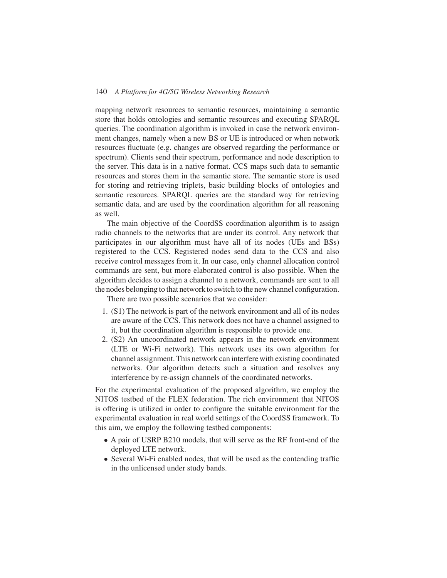mapping network resources to semantic resources, maintaining a semantic store that holds ontologies and semantic resources and executing SPARQL queries. The coordination algorithm is invoked in case the network environment changes, namely when a new BS or UE is introduced or when network resources fluctuate (e.g. changes are observed regarding the performance or spectrum). Clients send their spectrum, performance and node description to the server. This data is in a native format. CCS maps such data to semantic resources and stores them in the semantic store. The semantic store is used for storing and retrieving triplets, basic building blocks of ontologies and semantic resources. SPARQL queries are the standard way for retrieving semantic data, and are used by the coordination algorithm for all reasoning as well.

The main objective of the CoordSS coordination algorithm is to assign radio channels to the networks that are under its control. Any network that participates in our algorithm must have all of its nodes (UEs and BSs) registered to the CCS. Registered nodes send data to the CCS and also receive control messages from it. In our case, only channel allocation control commands are sent, but more elaborated control is also possible. When the algorithm decides to assign a channel to a network, commands are sent to all the nodes belonging to that network to switch to the new channel configuration.

There are two possible scenarios that we consider:

- 1. (S1) The network is part of the network environment and all of its nodes are aware of the CCS. This network does not have a channel assigned to it, but the coordination algorithm is responsible to provide one.
- 2. (S2) An uncoordinated network appears in the network environment (LTE or Wi-Fi network). This network uses its own algorithm for channel assignment. This network can interfere with existing coordinated networks. Our algorithm detects such a situation and resolves any interference by re-assign channels of the coordinated networks.

For the experimental evaluation of the proposed algorithm, we employ the NITOS testbed of the FLEX federation. The rich environment that NITOS is offering is utilized in order to configure the suitable environment for the experimental evaluation in real world settings of the CoordSS framework. To this aim, we employ the following testbed components:

- A pair of USRP B210 models, that will serve as the RF front-end of the deployed LTE network.
- Several Wi-Fi enabled nodes, that will be used as the contending traffic in the unlicensed under study bands.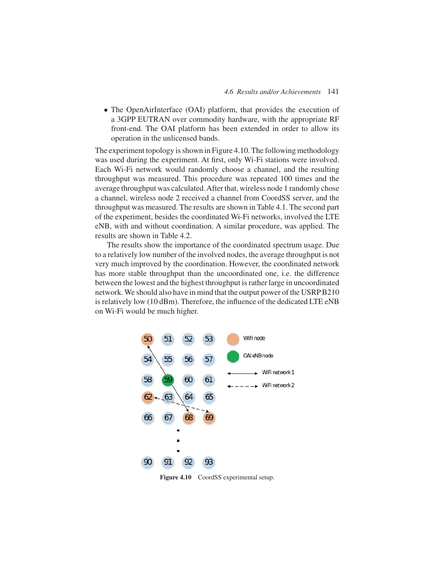• The OpenAirInterface (OAI) platform, that provides the execution of a 3GPP EUTRAN over commodity hardware, with the appropriate RF front-end. The OAI platform has been extended in order to allow its operation in the unlicensed bands.

The experiment topology is shown in Figure 4.10. The following methodology was used during the experiment. At first, only Wi-Fi stations were involved. Each Wi-Fi network would randomly choose a channel, and the resulting throughput was measured. This procedure was repeated 100 times and the average throughput was calculated.After that, wireless node 1 randomly chose a channel, wireless node 2 received a channel from CoordSS server, and the throughput was measured. The results are shown in Table 4.1. The second part of the experiment, besides the coordinated Wi-Fi networks, involved the LTE eNB, with and without coordination. A similar procedure, was applied. The results are shown in Table 4.2.

The results show the importance of the coordinated spectrum usage. Due to a relatively low number of the involved nodes, the average throughput is not very much improved by the coordination. However, the coordinated network has more stable throughput than the uncoordinated one, i.e. the difference between the lowest and the highest throughput is rather large in uncoordinated network.We should also have in mind that the output power of the USRPB210 is relatively low (10 dBm). Therefore, the influence of the dedicated LTE eNB on Wi-Fi would be much higher.



**Figure 4.10** CoordSS experimental setup.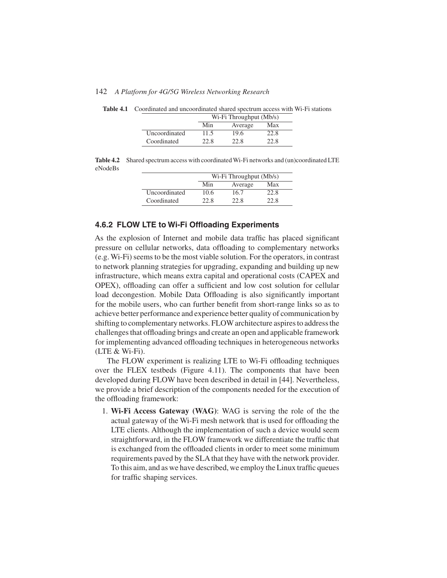|               | Wi-Fi Throughput (Mb/s) |         |      |  |
|---------------|-------------------------|---------|------|--|
|               | Min                     | Average | Max  |  |
| Uncoordinated | 11.5                    | 19.6    | 22.8 |  |
| Coordinated   | 22 S                    | 22.8    | 22 S |  |

**Table 4.1** Coordinated and uncoordinated shared spectrum access with Wi-Fi stations

Table 4.2 Shared spectrum access with coordinated Wi-Fi networks and (un)coordinated LTE eNodeBs

|               | Wi-Fi Throughput (Mb/s) |         |      |  |
|---------------|-------------------------|---------|------|--|
|               | Min                     | Average | Max  |  |
| Uncoordinated | 10.6                    | 16.7    | 22.8 |  |
| Coordinated   | 22.8                    | 22 S    | 22 S |  |

### **4.6.2 FLOW LTE to Wi-Fi Offloading Experiments**

As the explosion of Internet and mobile data traffic has placed significant pressure on cellular networks, data offloading to complementary networks (e.g. Wi-Fi) seems to be the most viable solution. For the operators, in contrast to network planning strategies for upgrading, expanding and building up new infrastructure, which means extra capital and operational costs (CAPEX and OPEX), offloading can offer a sufficient and low cost solution for cellular load decongestion. Mobile Data Offloading is also significantly important for the mobile users, who can further benefit from short-range links so as to achieve better performance and experience better quality of communication by shifting to complementary networks. FLOW architecture aspires to address the challenges that offloading brings and create an open and applicable framework for implementing advanced offloading techniques in heterogeneous networks (LTE & Wi-Fi).

The FLOW experiment is realizing LTE to Wi-Fi offloading techniques over the FLEX testbeds (Figure 4.11). The components that have been developed during FLOW have been described in detail in [44]. Nevertheless, we provide a brief description of the components needed for the execution of the offloading framework:

1. **Wi-Fi Access Gateway (WAG)**: WAG is serving the role of the the actual gateway of the Wi-Fi mesh network that is used for offloading the LTE clients. Although the implementation of such a device would seem straightforward, in the FLOW framework we differentiate the traffic that is exchanged from the offloaded clients in order to meet some minimum requirements paved by the SLAthat they have with the network provider. To this aim, and as we have described, we employ the Linux traffic queues for traffic shaping services.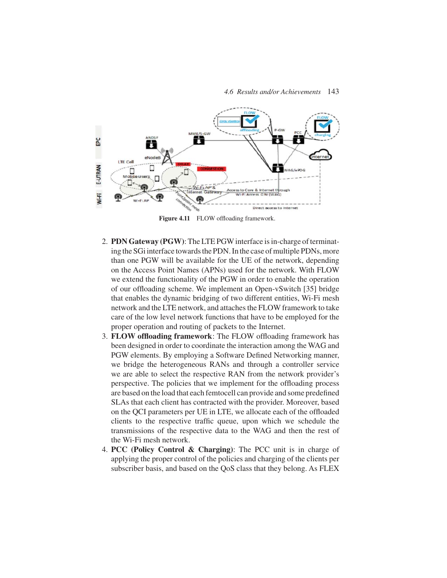

**Figure 4.11** FLOW offloading framework.

- 2. **PDN Gateway (PGW)**: The LTE PGW interface is in-charge of terminating the SGi interface towards the PDN. In the case of multiple PDNs, more than one PGW will be available for the UE of the network, depending on the Access Point Names (APNs) used for the network. With FLOW we extend the functionality of the PGW in order to enable the operation of our offloading scheme. We implement an Open-vSwitch [35] bridge that enables the dynamic bridging of two different entities, Wi-Fi mesh network and the LTE network, and attaches the FLOW framework to take care of the low level network functions that have to be employed for the proper operation and routing of packets to the Internet.
- 3. **FLOW offloading framework**: The FLOW offloading framework has been designed in order to coordinate the interaction among the WAG and PGW elements. By employing a Software Defined Networking manner, we bridge the heterogeneous RANs and through a controller service we are able to select the respective RAN from the network provider's perspective. The policies that we implement for the offloading process are based on the load that each femtocell can provide and some predefined SLAs that each client has contracted with the provider. Moreover, based on the QCI parameters per UE in LTE, we allocate each of the offloaded clients to the respective traffic queue, upon which we schedule the transmissions of the respective data to the WAG and then the rest of the Wi-Fi mesh network.
- 4. **PCC (Policy Control & Charging)**: The PCC unit is in charge of applying the proper control of the policies and charging of the clients per subscriber basis, and based on the QoS class that they belong. As FLEX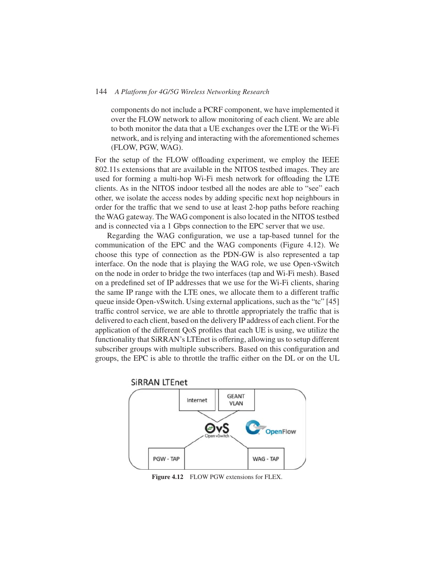components do not include a PCRF component, we have implemented it over the FLOW network to allow monitoring of each client. We are able to both monitor the data that a UE exchanges over the LTE or the Wi-Fi network, and is relying and interacting with the aforementioned schemes (FLOW, PGW, WAG).

For the setup of the FLOW offloading experiment, we employ the IEEE 802.11s extensions that are available in the NITOS testbed images. They are used for forming a multi-hop Wi-Fi mesh network for offloading the LTE clients. As in the NITOS indoor testbed all the nodes are able to "see" each other, we isolate the access nodes by adding specific next hop neighbours in order for the traffic that we send to use at least 2-hop paths before reaching the WAG gateway. The WAG component is also located in the NITOS testbed and is connected via a 1 Gbps connection to the EPC server that we use.

Regarding the WAG configuration, we use a tap-based tunnel for the communication of the EPC and the WAG components (Figure 4.12). We choose this type of connection as the PDN-GW is also represented a tap interface. On the node that is playing the WAG role, we use Open-vSwitch on the node in order to bridge the two interfaces (tap and Wi-Fi mesh). Based on a predefined set of IP addresses that we use for the Wi-Fi clients, sharing the same IP range with the LTE ones, we allocate them to a different traffic queue inside Open-vSwitch. Using external applications, such as the "tc" [45] traffic control service, we are able to throttle appropriately the traffic that is delivered to each client, based on the delivery IP address of each client. For the application of the different QoS profiles that each UE is using, we utilize the functionality that SiRRAN's LTEnet is offering, allowing us to setup different subscriber groups with multiple subscribers. Based on this configuration and groups, the EPC is able to throttle the traffic either on the DL or on the UL



**Figure 4.12** FLOW PGW extensions for FLEX.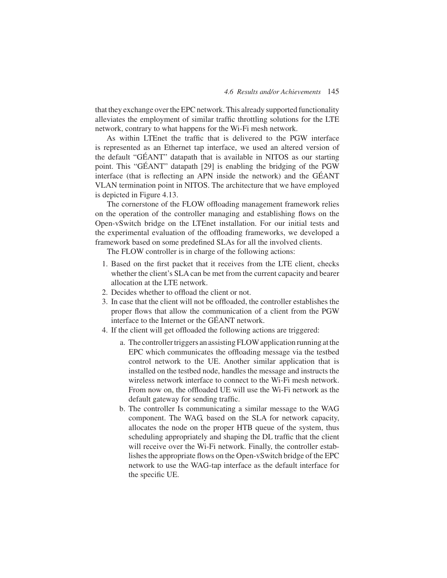that they exchange over the EPC network. This already supported functionality alleviates the employment of similar traffic throttling solutions for the LTE network, contrary to what happens for the Wi-Fi mesh network.

As within LTEnet the traffic that is delivered to the PGW interface is represented as an Ethernet tap interface, we used an altered version of the default "GÉANT" datapath that is available in NITOS as our starting point. This "GÉANT" datapath [29] is enabling the bridging of the PGW interface (that is reflecting an APN inside the network) and the GÉANT VLAN termination point in NITOS. The architecture that we have employed is depicted in Figure 4.13.

The cornerstone of the FLOW offloading management framework relies on the operation of the controller managing and establishing flows on the Open-vSwitch bridge on the LTEnet installation. For our initial tests and the experimental evaluation of the offloading frameworks, we developed a framework based on some predefined SLAs for all the involved clients.

The FLOW controller is in charge of the following actions:

- 1. Based on the first packet that it receives from the LTE client, checks whether the client's SLA can be met from the current capacity and bearer allocation at the LTE network.
- 2. Decides whether to offload the client or not.
- 3. In case that the client will not be offloaded, the controller establishes the proper flows that allow the communication of a client from the PGW interface to the Internet or the GÉANT network.
- 4. If the client will get offloaded the following actions are triggered:
	- a. The controller triggers an assisting FLOW application running at the EPC which communicates the offloading message via the testbed control network to the UE. Another similar application that is installed on the testbed node, handles the message and instructs the wireless network interface to connect to the Wi-Fi mesh network. From now on, the offloaded UE will use the Wi-Fi network as the default gateway for sending traffic.
	- b. The controller Is communicating a similar message to the WAG component. The WAG, based on the SLA for network capacity, allocates the node on the proper HTB queue of the system, thus scheduling appropriately and shaping the DL traffic that the client will receive over the Wi-Fi network. Finally, the controller establishes the appropriate flows on the Open-vSwitch bridge of the EPC network to use the WAG-tap interface as the default interface for the specific UE.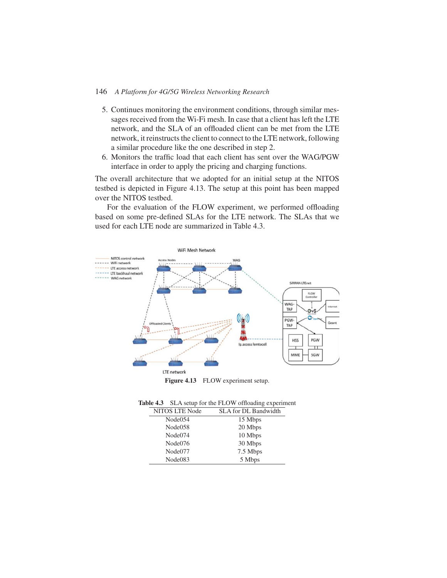- 5. Continues monitoring the environment conditions, through similar messages received from the Wi-Fi mesh. In case that a client has left the LTE network, and the SLA of an offloaded client can be met from the LTE network, it reinstructs the client to connect to the LTE network, following a similar procedure like the one described in step 2.
- 6. Monitors the traffic load that each client has sent over the WAG/PGW interface in order to apply the pricing and charging functions.

The overall architecture that we adopted for an initial setup at the NITOS testbed is depicted in Figure 4.13. The setup at this point has been mapped over the NITOS testbed.

For the evaluation of the FLOW experiment, we performed offloading based on some pre-defined SLAs for the LTE network. The SLAs that we used for each LTE node are summarized in Table 4.3.



**Figure 4.13** FLOW experiment setup.

| <b>NITOS LTE Node</b> | <b>SLA</b> for DL Bandwidth |
|-----------------------|-----------------------------|
| Node054               | 15 Mbps                     |
| Node058               | 20 Mbps                     |
| Node074               | 10 Mbps                     |
| Node076               | 30 Mbps                     |
| Node077               | 7.5 Mbps                    |
| Node083               | 5 Mbps                      |

|  |  | <b>Table 4.3</b> SLA setup for the FLOW offloading experiment |  |  |
|--|--|---------------------------------------------------------------|--|--|
|--|--|---------------------------------------------------------------|--|--|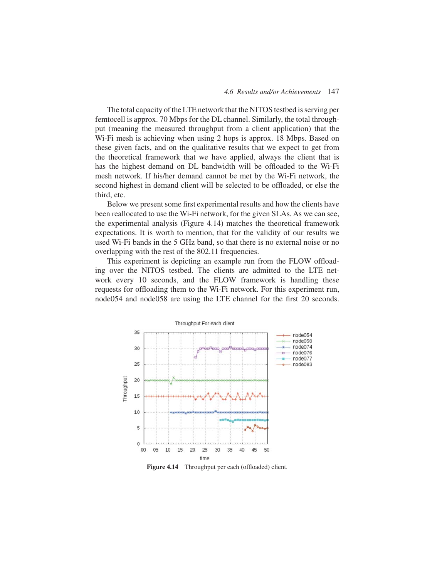The total capacity of the LTE network that the NITOS testbed is serving per femtocell is approx. 70 Mbps for the DL channel. Similarly, the total throughput (meaning the measured throughput from a client application) that the Wi-Fi mesh is achieving when using 2 hops is approx. 18 Mbps. Based on these given facts, and on the qualitative results that we expect to get from the theoretical framework that we have applied, always the client that is has the highest demand on DL bandwidth will be offloaded to the Wi-Fi mesh network. If his/her demand cannot be met by the Wi-Fi network, the second highest in demand client will be selected to be offloaded, or else the third, etc.

Below we present some first experimental results and how the clients have been reallocated to use the Wi-Fi network, for the given SLAs. As we can see, the experimental analysis (Figure 4.14) matches the theoretical framework expectations. It is worth to mention, that for the validity of our results we used Wi-Fi bands in the 5 GHz band, so that there is no external noise or no overlapping with the rest of the 802.11 frequencies.

This experiment is depicting an example run from the FLOW offloading over the NITOS testbed. The clients are admitted to the LTE network every 10 seconds, and the FLOW framework is handling these requests for offloading them to the Wi-Fi network. For this experiment run, node054 and node058 are using the LTE channel for the first 20 seconds.



Figure 4.14 Throughput per each (offloaded) client.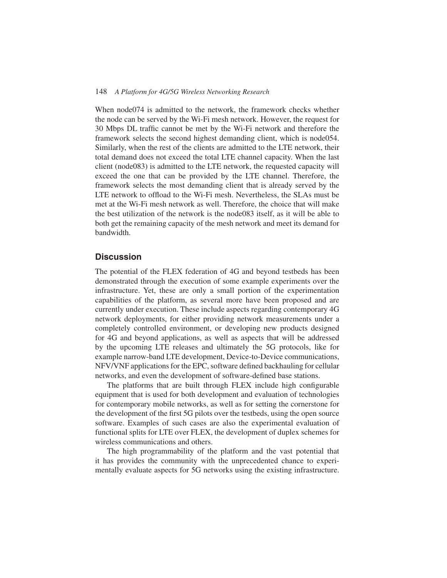When node074 is admitted to the network, the framework checks whether the node can be served by the Wi-Fi mesh network. However, the request for 30 Mbps DL traffic cannot be met by the Wi-Fi network and therefore the framework selects the second highest demanding client, which is node054. Similarly, when the rest of the clients are admitted to the LTE network, their total demand does not exceed the total LTE channel capacity. When the last client (node083) is admitted to the LTE network, the requested capacity will exceed the one that can be provided by the LTE channel. Therefore, the framework selects the most demanding client that is already served by the LTE network to offload to the Wi-Fi mesh. Nevertheless, the SLAs must be met at the Wi-Fi mesh network as well. Therefore, the choice that will make the best utilization of the network is the node083 itself, as it will be able to both get the remaining capacity of the mesh network and meet its demand for bandwidth.

## **Discussion**

The potential of the FLEX federation of 4G and beyond testbeds has been demonstrated through the execution of some example experiments over the infrastructure. Yet, these are only a small portion of the experimentation capabilities of the platform, as several more have been proposed and are currently under execution. These include aspects regarding contemporary 4G network deployments, for either providing network measurements under a completely controlled environment, or developing new products designed for 4G and beyond applications, as well as aspects that will be addressed by the upcoming LTE releases and ultimately the 5G protocols, like for example narrow-band LTE development, Device-to-Device communications, NFV/VNF applications for the EPC, software defined backhauling for cellular networks, and even the development of software-defined base stations.

The platforms that are built through FLEX include high configurable equipment that is used for both development and evaluation of technologies for contemporary mobile networks, as well as for setting the cornerstone for the development of the first 5G pilots over the testbeds, using the open source software. Examples of such cases are also the experimental evaluation of functional splits for LTE over FLEX, the development of duplex schemes for wireless communications and others.

The high programmability of the platform and the vast potential that it has provides the community with the unprecedented chance to experimentally evaluate aspects for 5G networks using the existing infrastructure.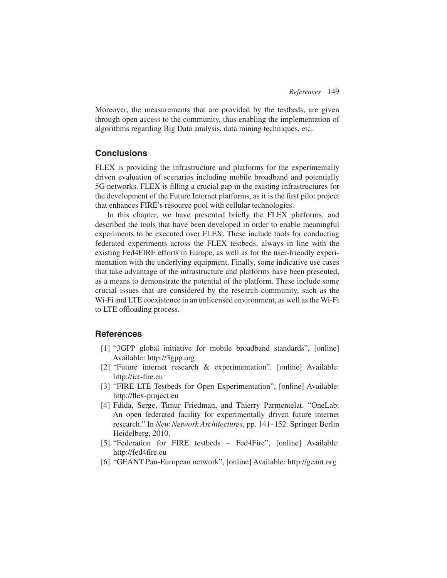Moreover, the measurements that are provided by the testbeds, are given through open access to the community, thus enabling the implementation of algorithms regarding Big Data analysis, data mining techniques, etc.

# **Conclusions**

FLEX is providing the infrastructure and platforms for the experimentally driven evaluation of scenarios including mobile broadband and potentially 5G networks. FLEX is filling a crucial gap in the existing infrastructures for the development of the Future Internet platforms, as it is the first pilot project that enhances FIRE's resource pool with cellular technologies.

In this chapter, we have presented briefly the FLEX platforms, and described the tools that have been developed in order to enable meaningful experiments to be executed over FLEX. These include tools for conducting federated experiments across the FLEX testbeds, always in line with the existing Fed4FIRE efforts in Europe, as well as for the user-friendly experimentation with the underlying equipment. Finally, some indicative use cases that take advantage of the infrastructure and platforms have been presented, as a means to demonstrate the potential of the platform. These include some crucial issues that are considered by the research community, such as the Wi-Fi and LTE coexistence in an unlicensed environment, as well as the Wi-Fi to LTE offloading process.

# **References**

- [1] "3GPP global initiative for mobile broadband standards", [online] Available: http://3gpp.org
- [2] "Future internet research & experimentation", [online] Available: http://ict-fire.eu
- [3] "FIRE LTE Testbeds for Open Experimentation", [online] Available: http://flex-project.eu
- [4] Fdida, Serge, Timur Friedman, and Thierry Parmentelat. "OneLab: An open federated facility for experimentally driven future internet research." In *New Network Architectures*, pp. 141–152. Springer Berlin Heidelberg, 2010.
- [5] "Federation for FIRE testbeds Fed4Fire", [online] Available: http://fed4fire.eu
- [6] "GEANT Pan-European network", [online] Available: http://geant.org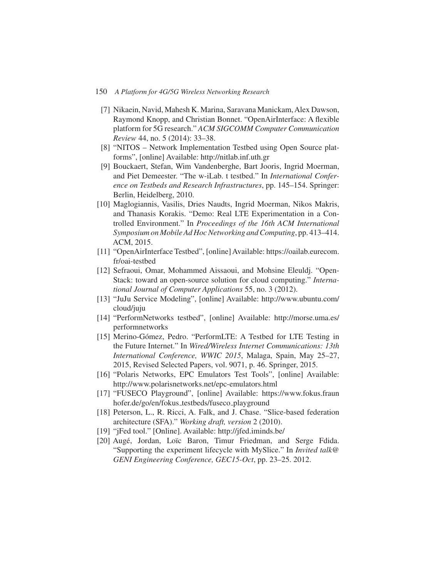- [7] Nikaein, Navid, Mahesh K. Marina, Saravana Manickam,Alex Dawson, Raymond Knopp, and Christian Bonnet. "OpenAirInterface: A flexible platform for 5G research." *ACM SIGCOMM Computer Communication Review* 44, no. 5 (2014): 33–38.
- [8] "NITOS Network Implementation Testbed using Open Source platforms", [online] Available: http://nitlab.inf.uth.gr
- [9] Bouckaert, Stefan, Wim Vandenberghe, Bart Jooris, Ingrid Moerman, and Piet Demeester. "The w-iLab. t testbed." In *International Conference on Testbeds and Research Infrastructures*, pp. 145–154. Springer: Berlin, Heidelberg, 2010.
- [10] Maglogiannis, Vasilis, Dries Naudts, Ingrid Moerman, Nikos Makris, and Thanasis Korakis. "Demo: Real LTE Experimentation in a Controlled Environment." In *Proceedings of the 16th ACM International Symposium on Mobile Ad Hoc Networking and Computing*, pp. 413–414. ACM, 2015.
- [11] "OpenAirInterface Testbed", [online] Available: https://oailab.eurecom. fr/oai-testbed
- [12] Sefraoui, Omar, Mohammed Aissaoui, and Mohsine Eleuldj. "Open-Stack: toward an open-source solution for cloud computing." *International Journal of Computer Applications* 55, no. 3 (2012).
- [13] "JuJu Service Modeling", [online] Available: http://www.ubuntu.com/ cloud/juju
- [14] "PerformNetworks testbed", [online] Available: http://morse.uma.es/ performnetworks
- [15] Merino-Gómez, Pedro. "PerformLTE: A Testbed for LTE Testing in the Future Internet." In *Wired/Wireless Internet Communications: 13th International Conference, WWIC 2015*, Malaga, Spain, May 25–27, 2015, Revised Selected Papers, vol. 9071, p. 46. Springer, 2015.
- [16] "Polaris Networks, EPC Emulators Test Tools", [online] Available: http://www.polarisnetworks.net/epc-emulators.html
- [17] "FUSECO Playground", [online] Available: https://www.fokus.fraun hofer.de/go/en/fokus\_testbeds/fuseco\_playground
- [18] Peterson, L., R. Ricci, A. Falk, and J. Chase. "Slice-based federation architecture (SFA)." *Working draft, version* 2 (2010).
- [19] "jFed tool." [Online]. Available: http://jfed.iminds.be/
- [20] Augé, Jordan, Loïc Baron, Timur Friedman, and Serge Fdida. "Supporting the experiment lifecycle with MySlice." In *Invited talk@ GENI Engineering Conference, GEC15-Oct*, pp. 23–25. 2012.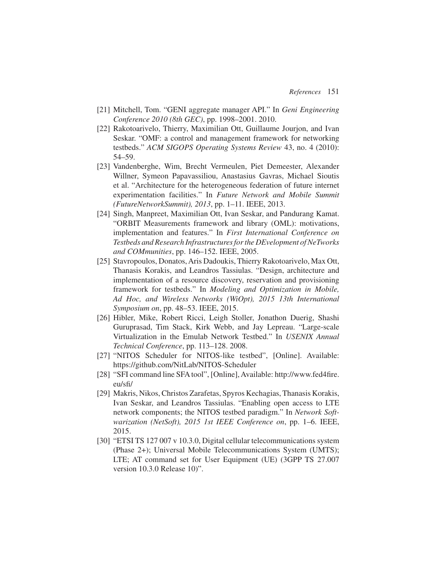- [21] Mitchell, Tom. "GENI aggregate manager API." In *Geni Engineering Conference 2010 (8th GEC)*, pp. 1998–2001. 2010.
- [22] Rakotoarivelo, Thierry, Maximilian Ott, Guillaume Jourjon, and Ivan Seskar. "OMF: a control and management framework for networking testbeds." *ACM SIGOPS Operating Systems Review* 43, no. 4 (2010): 54–59.
- [23] Vandenberghe, Wim, Brecht Vermeulen, Piet Demeester, Alexander Willner, Symeon Papavassiliou, Anastasius Gavras, Michael Sioutis et al. "Architecture for the heterogeneous federation of future internet experimentation facilities." In *Future Network and Mobile Summit (FutureNetworkSummit), 2013*, pp. 1–11. IEEE, 2013.
- [24] Singh, Manpreet, Maximilian Ott, Ivan Seskar, and Pandurang Kamat. "ORBIT Measurements framework and library (OML): motivations, implementation and features." In *First International Conference on Testbeds and Research Infrastructures for the DEvelopment of NeTworks and COMmunities*, pp. 146–152. IEEE, 2005.
- [25] Stavropoulos, Donatos, Aris Dadoukis, Thierry Rakotoarivelo, Max Ott, Thanasis Korakis, and Leandros Tassiulas. "Design, architecture and implementation of a resource discovery, reservation and provisioning framework for testbeds." In *Modeling and Optimization in Mobile, Ad Hoc, and Wireless Networks (WiOpt), 2015 13th International Symposium on*, pp. 48–53. IEEE, 2015.
- [26] Hibler, Mike, Robert Ricci, Leigh Stoller, Jonathon Duerig, Shashi Guruprasad, Tim Stack, Kirk Webb, and Jay Lepreau. "Large-scale Virtualization in the Emulab Network Testbed." In *USENIX Annual Technical Conference*, pp. 113–128. 2008.
- [27] "NITOS Scheduler for NITOS-like testbed", [Online]. Available: https://github.com/NitLab/NITOS-Scheduler
- [28] "SFI command line SFA tool", [Online], Available: http://www.fed4fire. eu/sfi/
- [29] Makris, Nikos, Christos Zarafetas, Spyros Kechagias, Thanasis Korakis, Ivan Seskar, and Leandros Tassiulas. "Enabling open access to LTE network components; the NITOS testbed paradigm." In *Network Softwarization (NetSoft), 2015 1st IEEE Conference on*, pp. 1–6. IEEE, 2015.
- [30] "ETSI TS 127 007 v 10.3.0, Digital cellular telecommunications system (Phase 2+); Universal Mobile Telecommunications System (UMTS); LTE; AT command set for User Equipment (UE) (3GPP TS 27.007 version 10.3.0 Release 10)".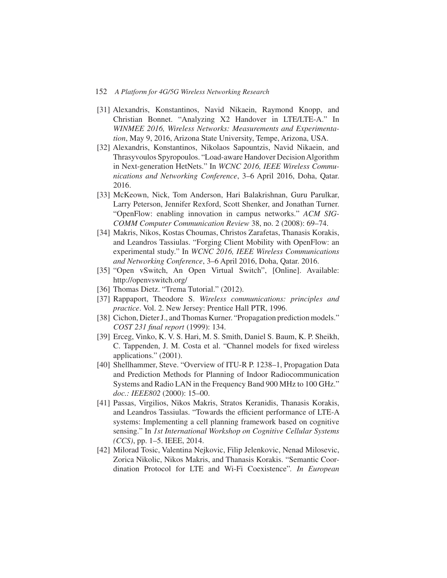- [31] Alexandris, Konstantinos, Navid Nikaein, Raymond Knopp, and Christian Bonnet. "Analyzing X2 Handover in LTE/LTE-A." In *WINMEE 2016, Wireless Networks: Measurements and Experimentation*, May 9, 2016, Arizona State University, Tempe, Arizona, USA.
- [32] Alexandris, Konstantinos, Nikolaos Sapountzis, Navid Nikaein, and Thrasyvoulos Spyropoulos. "Load-aware Handover DecisionAlgorithm in Next-generation HetNets." In *WCNC 2016, IEEE Wireless Communications and Networking Conference*, 3–6 April 2016, Doha, Qatar. 2016.
- [33] McKeown, Nick, Tom Anderson, Hari Balakrishnan, Guru Parulkar, Larry Peterson, Jennifer Rexford, Scott Shenker, and Jonathan Turner. "OpenFlow: enabling innovation in campus networks." *ACM SIG-COMM Computer Communication Review* 38, no. 2 (2008): 69–74.
- [34] Makris, Nikos, Kostas Choumas, Christos Zarafetas, Thanasis Korakis, and Leandros Tassiulas. "Forging Client Mobility with OpenFlow: an experimental study." In *WCNC 2016, IEEE Wireless Communications and Networking Conference*, 3–6 April 2016, Doha, Qatar. 2016.
- [35] "Open vSwitch, An Open Virtual Switch", [Online]. Available: http://openvswitch.org/
- [36] Thomas Dietz. "Trema Tutorial." (2012).
- [37] Rappaport, Theodore S. *Wireless communications: principles and practice*. Vol. 2. New Jersey: Prentice Hall PTR, 1996.
- [38] Cichon, Dieter J., and Thomas Kurner. "Propagation prediction models." *COST 231 final report* (1999): 134.
- [39] Erceg, Vinko, K. V. S. Hari, M. S. Smith, Daniel S. Baum, K. P. Sheikh, C. Tappenden, J. M. Costa et al. "Channel models for fixed wireless applications." (2001).
- [40] Shellhammer, Steve. "Overview of ITU-R P. 1238–1, Propagation Data and Prediction Methods for Planning of Indoor Radiocommunication Systems and Radio LAN in the Frequency Band 900 MHz to 100 GHz." *doc.: IEEE802* (2000): 15–00.
- [41] Passas, Virgilios, Nikos Makris, Stratos Keranidis, Thanasis Korakis, and Leandros Tassiulas. "Towards the efficient performance of LTE-A systems: Implementing a cell planning framework based on cognitive sensing." In *1st International Workshop on Cognitive Cellular Systems (CCS)*, pp. 1–5. IEEE, 2014.
- [42] Milorad Tosic, Valentina Nejkovic, Filip Jelenkovic, Nenad Milosevic, Zorica Nikolic, Nikos Makris, and Thanasis Korakis. "Semantic Coordination Protocol for LTE and Wi-Fi Coexistence"*. In European*